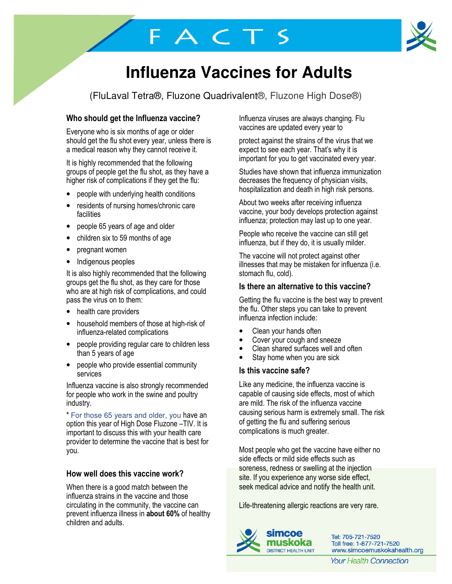# **Influenza Vaccines for Adults**

(FluLaval Tetra®, Fluzone Quadrivalent®, Fluzone High Dose®)

FACTS

# Who should get the Influenza vaccine?

Everyone who is six months of age or older should get the flu shot every year, unless there is a medical reason why they cannot receive it.

It is highly recommended that the following groups of people get the flu shot, as they have a higher risk of complications if they get the flu:

- people with underlying health conditions
- residents of nursing homes/chronic care facilities
- people 65 years of age and older
- children six to 59 months of age
- pregnant women
- Indigenous peoples

It is also highly recommended that the following groups get the flu shot, as they care for those who are at high risk of complications, and could pass the virus on to them:

- health care providers
- household members of those at high-risk of influenza-related complications
- people providing regular care to children less than 5 years of age
- people who provide essential community services

Influenza vaccine is also strongly recommended for people who work in the swine and poultry industry.

\* For those 65 years and older, you have an option this year of High Dose Fluzone –TIV. It is important to discuss this with your health care provider to determine the vaccine that is best for you.

# How well does this vaccine work?

When there is a good match between the influenza strains in the vaccine and those circulating in the community, the vaccine can prevent influenza illness in about 60% of healthy children and adults.

Influenza viruses are always changing. Flu vaccines are updated every year to

protect against the strains of the virus that we expect to see each year. That's why it is important for you to get vaccinated every year.

Studies have shown that influenza immunization decreases the frequency of physician visits, hospitalization and death in high risk persons.

About two weeks after receiving influenza vaccine, your body develops protection against influenza; protection may last up to one year.

People who receive the vaccine can still get influenza, but if they do, it is usually milder.

The vaccine will not protect against other illnesses that may be mistaken for influenza (i.e. stomach flu, cold).

## Is there an alternative to this vaccine?

Getting the flu vaccine is the best way to prevent the flu. Other steps you can take to prevent influenza infection include:

- Clean your hands often
- Cover your cough and sneeze
- Clean shared surfaces well and often
- Stay home when you are sick

## Is this vaccine safe?

Like any medicine, the influenza vaccine is capable of causing side effects, most of which are mild. The risk of the influenza vaccine causing serious harm is extremely small. The risk of getting the flu and suffering serious complications is much greater.

Most people who get the vaccine have either no side effects or mild side effects such as soreness, redness or swelling at the injection site. If you experience any worse side effect, seek medical advice and notify the health unit.

Life-threatening allergic reactions are very rare.



Tel: 705-721-7520 Toll free: 1-877-721-7520 www.simcoemuskokahealth.org

**Your Health Connection**